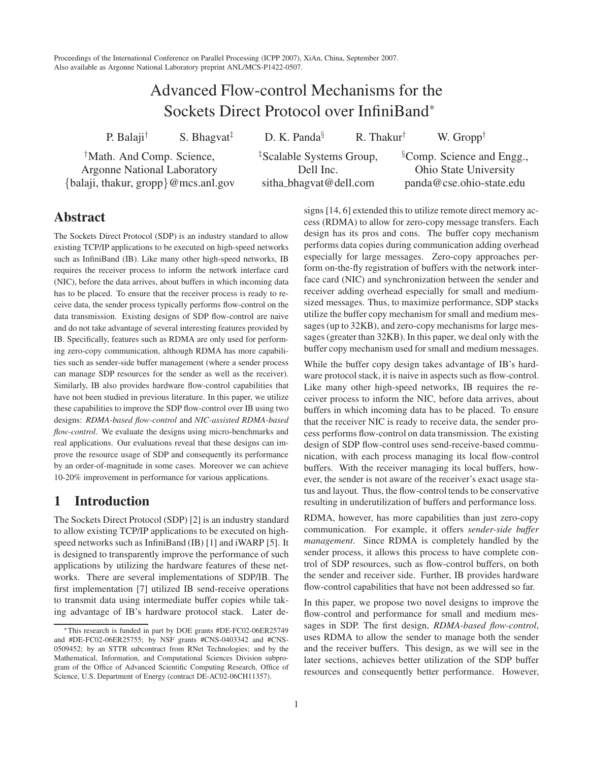Proceedings of the International Conference on Parallel Processing (ICPP 2007), XiAn, China, September 2007. Also available as Argonne National Laboratory preprint ANL/MCS-P1422-0507.

# Advanced Flow-control Mechanisms for the Sockets Direct Protocol over InfiniBand<sup>∗</sup>

P. Balaji<sup>†</sup> S. Bhagvat<sup> $\ddagger$ </sup>

† Math. And Comp. Science, Argonne National Laboratory {balaji, thakur, gropp}@mcs.anl.gov ‡ Scalable Systems Group, Dell Inc. sitha bhagvat@dell.com

D. K. Panda<sup>§</sup> R. Thakur<sup>†</sup>

§ Comp. Science and Engg., Ohio State University panda@cse.ohio-state.edu

† W. Gropp†

# **Abstract**

The Sockets Direct Protocol (SDP) is an industry standard to allow existing TCP/IP applications to be executed on high-speed networks such as InfiniBand (IB). Like many other high-speed networks, IB requires the receiver process to inform the network interface card (NIC), before the data arrives, about buffers in which incoming data has to be placed. To ensure that the receiver process is ready to receive data, the sender process typically performs flow-control on the data transmission. Existing designs of SDP flow-control are naive and do not take advantage of several interesting features provided by IB. Specifically, features such as RDMA are only used for performing zero-copy communication, although RDMA has more capabilities such as sender-side buffer management (where a sender process can manage SDP resources for the sender as well as the receiver). Similarly, IB also provides hardware flow-control capabilities that have not been studied in previous literature. In this paper, we utilize these capabilities to improve the SDP flow-control over IB using two designs: *RDMA-based flow-control* and *NIC-assisted RDMA-based flow-control*. We evaluate the designs using micro-benchmarks and real applications. Our evaluations reveal that these designs can improve the resource usage of SDP and consequently its performance by an order-of-magnitude in some cases. Moreover we can achieve 10-20% improvement in performance for various applications.

# **1 Introduction**

The Sockets Direct Protocol (SDP) [2] is an industry standard to allow existing TCP/IP applications to be executed on highspeed networks such as InfiniBand (IB) [1] and iWARP [5]. It is designed to transparently improve the performance of such applications by utilizing the hardware features of these networks. There are several implementations of SDP/IB. The first implementation [7] utilized IB send-receive operations to transmit data using intermediate buffer copies while taking advantage of IB's hardware protocol stack. Later designs [14, 6] extended this to utilize remote direct memory access (RDMA) to allow for zero-copy message transfers. Each design has its pros and cons. The buffer copy mechanism performs data copies during communication adding overhead especially for large messages. Zero-copy approaches perform on-the-fly registration of buffers with the network interface card (NIC) and synchronization between the sender and receiver adding overhead especially for small and mediumsized messages. Thus, to maximize performance, SDP stacks utilize the buffer copy mechanism for small and medium messages (up to 32KB), and zero-copy mechanisms for large messages(greater than 32KB). In this paper, we deal only with the buffer copy mechanism used for small and medium messages.

While the buffer copy design takes advantage of IB's hardware protocol stack, it is naive in aspects such as flow-control. Like many other high-speed networks, IB requires the receiver process to inform the NIC, before data arrives, about buffers in which incoming data has to be placed. To ensure that the receiver NIC is ready to receive data, the sender process performs flow-control on data transmission. The existing design of SDP flow-control uses send-receive-based communication, with each process managing its local flow-control buffers. With the receiver managing its local buffers, however, the sender is not aware of the receiver's exact usage status and layout. Thus, the flow-control tends to be conservative resulting in underutilization of buffers and performance loss.

RDMA, however, has more capabilities than just zero-copy communication. For example, it offers *sender-side buffer management*. Since RDMA is completely handled by the sender process, it allows this process to have complete control of SDP resources, such as flow-control buffers, on both the sender and receiver side. Further, IB provides hardware flow-control capabilities that have not been addressed so far.

In this paper, we propose two novel designs to improve the flow-control and performance for small and medium messages in SDP. The first design, *RDMA-based flow-control*, uses RDMA to allow the sender to manage both the sender and the receiver buffers. This design, as we will see in the later sections, achieves better utilization of the SDP buffer resources and consequently better performance. However,

<sup>∗</sup>This research is funded in part by DOE grants #DE-FC02-06ER25749 and #DE-FC02-06ER25755; by NSF grants #CNS-0403342 and #CNS-0509452; by an STTR subcontract from RNet Technologies; and by the Mathematical, Information, and Computational Sciences Division subprogram of the Office of Advanced Scientific Computing Research, Office of Science, U.S. Department of Energy (contract DE-AC02-06CH11357).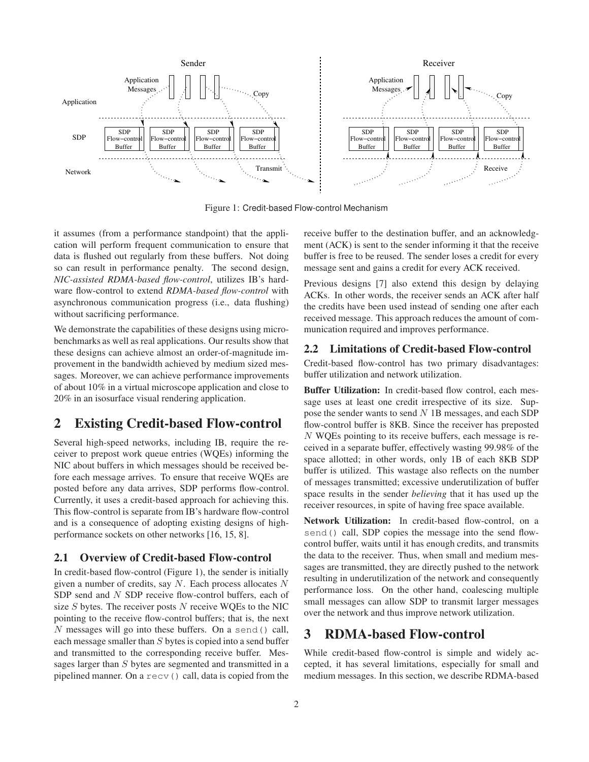

Figure 1: Credit-based Flow-control Mechanism

it assumes (from a performance standpoint) that the application will perform frequent communication to ensure that data is flushed out regularly from these buffers. Not doing so can result in performance penalty. The second design, *NIC-assisted RDMA-based flow-control*, utilizes IB's hardware flow-control to extend *RDMA-based flow-control* with asynchronous communication progress (i.e., data flushing) without sacrificing performance.

We demonstrate the capabilities of these designs using microbenchmarks as well as real applications. Our results show that these designs can achieve almost an order-of-magnitude improvement in the bandwidth achieved by medium sized messages. Moreover, we can achieve performance improvements of about 10% in a virtual microscope application and close to 20% in an isosurface visual rendering application.

# **2 Existing Credit-based Flow-control**

Several high-speed networks, including IB, require the receiver to prepost work queue entries (WQEs) informing the NIC about buffers in which messages should be received before each message arrives. To ensure that receive WQEs are posted before any data arrives, SDP performs flow-control. Currently, it uses a credit-based approach for achieving this. This flow-control is separate from IB's hardware flow-control and is a consequence of adopting existing designs of highperformance sockets on other networks [16, 15, 8].

#### **2.1 Overview of Credit-based Flow-control**

In credit-based flow-control (Figure 1), the sender is initially given a number of credits, say  $N$ . Each process allocates  $N$ SDP send and N SDP receive flow-control buffers, each of size  $S$  bytes. The receiver posts  $N$  receive WQEs to the NIC pointing to the receive flow-control buffers; that is, the next N messages will go into these buffers. On a send() call, each message smaller than  $S$  bytes is copied into a send buffer and transmitted to the corresponding receive buffer. Messages larger than S bytes are segmented and transmitted in a pipelined manner. On a recv() call, data is copied from the

receive buffer to the destination buffer, and an acknowledgment (ACK) is sent to the sender informing it that the receive buffer is free to be reused. The sender loses a credit for every message sent and gains a credit for every ACK received.

Previous designs [7] also extend this design by delaying ACKs. In other words, the receiver sends an ACK after half the credits have been used instead of sending one after each received message. This approach reduces the amount of communication required and improves performance.

#### **2.2 Limitations of Credit-based Flow-control**

Credit-based flow-control has two primary disadvantages: buffer utilization and network utilization.

**Buffer Utilization:** In credit-based flow control, each message uses at least one credit irrespective of its size. Suppose the sender wants to send  $N$  1B messages, and each SDP flow-control buffer is 8KB. Since the receiver has preposted N WQEs pointing to its receive buffers, each message is received in a separate buffer, effectively wasting 99.98% of the space allotted; in other words, only 1B of each 8KB SDP buffer is utilized. This wastage also reflects on the number of messages transmitted; excessive underutilization of buffer space results in the sender *believing* that it has used up the receiver resources, in spite of having free space available.

**Network Utilization:** In credit-based flow-control, on a send() call, SDP copies the message into the send flowcontrol buffer, waits until it has enough credits, and transmits the data to the receiver. Thus, when small and medium messages are transmitted, they are directly pushed to the network resulting in underutilization of the network and consequently performance loss. On the other hand, coalescing multiple small messages can allow SDP to transmit larger messages over the network and thus improve network utilization.

# **3 RDMA-based Flow-control**

While credit-based flow-control is simple and widely accepted, it has several limitations, especially for small and medium messages. In this section, we describe RDMA-based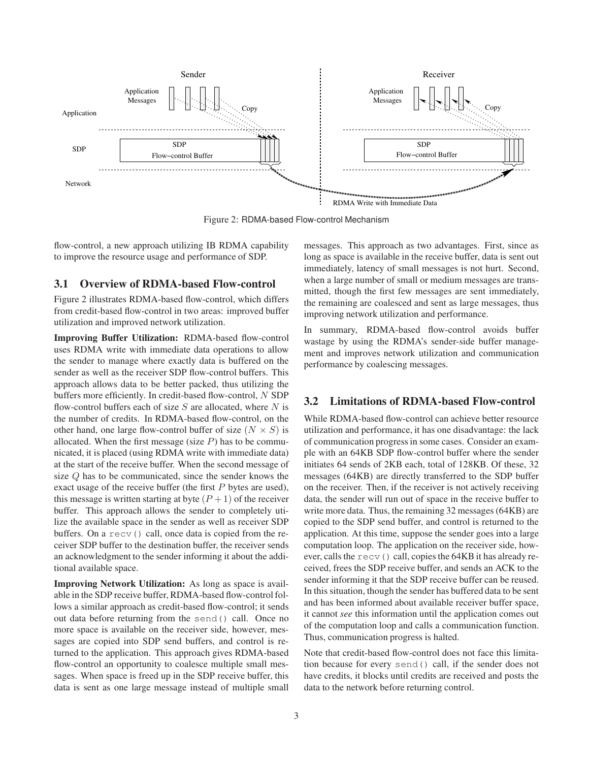

Figure 2: RDMA-based Flow-control Mechanism

flow-control, a new approach utilizing IB RDMA capability to improve the resource usage and performance of SDP.

#### **3.1 Overview of RDMA-based Flow-control**

Figure 2 illustrates RDMA-based flow-control, which differs from credit-based flow-control in two areas: improved buffer utilization and improved network utilization.

**Improving Buffer Utilization:** RDMA-based flow-control uses RDMA write with immediate data operations to allow the sender to manage where exactly data is buffered on the sender as well as the receiver SDP flow-control buffers. This approach allows data to be better packed, thus utilizing the buffers more efficiently. In credit-based flow-control, N SDP flow-control buffers each of size  $S$  are allocated, where  $N$  is the number of credits. In RDMA-based flow-control, on the other hand, one large flow-control buffer of size  $(N \times S)$  is allocated. When the first message (size  $P$ ) has to be communicated, it is placed (using RDMA write with immediate data) at the start of the receive buffer. When the second message of size Q has to be communicated, since the sender knows the exact usage of the receive buffer (the first P bytes are used), this message is written starting at byte  $(P + 1)$  of the receiver buffer. This approach allows the sender to completely utilize the available space in the sender as well as receiver SDP buffers. On a recv() call, once data is copied from the receiver SDP buffer to the destination buffer, the receiver sends an acknowledgment to the sender informing it about the additional available space.

**Improving Network Utilization:** As long as space is available in the SDP receive buffer, RDMA-based flow-control follows a similar approach as credit-based flow-control; it sends out data before returning from the send() call. Once no more space is available on the receiver side, however, messages are copied into SDP send buffers, and control is returned to the application. This approach gives RDMA-based flow-control an opportunity to coalesce multiple small messages. When space is freed up in the SDP receive buffer, this data is sent as one large message instead of multiple small messages. This approach as two advantages. First, since as long as space is available in the receive buffer, data is sent out immediately, latency of small messages is not hurt. Second, when a large number of small or medium messages are transmitted, though the first few messages are sent immediately, the remaining are coalesced and sent as large messages, thus improving network utilization and performance.

In summary, RDMA-based flow-control avoids buffer wastage by using the RDMA's sender-side buffer management and improves network utilization and communication performance by coalescing messages.

#### **3.2 Limitations of RDMA-based Flow-control**

While RDMA-based flow-control can achieve better resource utilization and performance, it has one disadvantage: the lack of communication progressin some cases. Consider an example with an 64KB SDP flow-control buffer where the sender initiates 64 sends of 2KB each, total of 128KB. Of these, 32 messages (64KB) are directly transferred to the SDP buffer on the receiver. Then, if the receiver is not actively receiving data, the sender will run out of space in the receive buffer to write more data. Thus, the remaining 32 messages (64KB) are copied to the SDP send buffer, and control is returned to the application. At this time, suppose the sender goes into a large computation loop. The application on the receiver side, however, calls the  $\text{recv}$ () call, copies the 64KB it has already received, frees the SDP receive buffer, and sends an ACK to the sender informing it that the SDP receive buffer can be reused. In this situation, though the sender has buffered data to be sent and has been informed about available receiver buffer space, it cannot *see* this information until the application comes out of the computation loop and calls a communication function. Thus, communication progress is halted.

Note that credit-based flow-control does not face this limitation because for every send() call, if the sender does not have credits, it blocks until credits are received and posts the data to the network before returning control.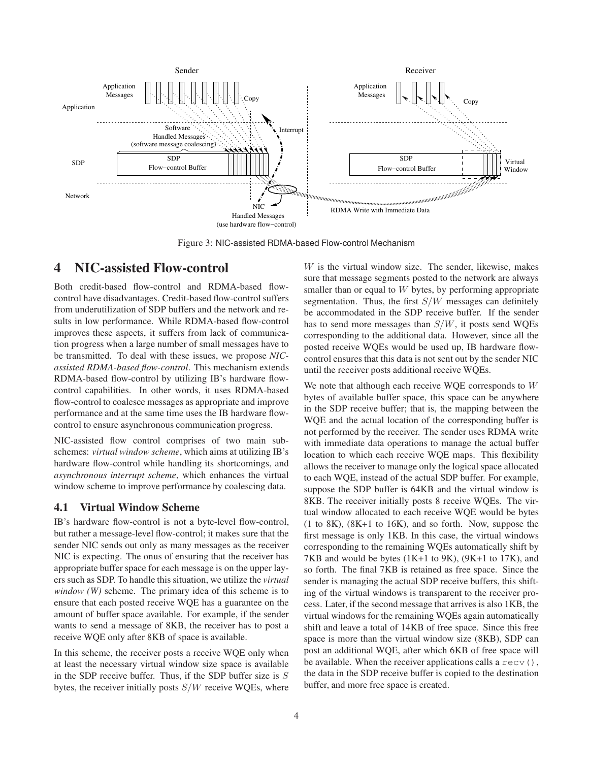

Figure 3: NIC-assisted RDMA-based Flow-control Mechanism

# **4 NIC-assisted Flow-control**

Both credit-based flow-control and RDMA-based flowcontrol have disadvantages. Credit-based flow-control suffers from underutilization of SDP buffers and the network and results in low performance. While RDMA-based flow-control improves these aspects, it suffers from lack of communication progress when a large number of small messages have to be transmitted. To deal with these issues, we propose *NICassisted RDMA-based flow-control*. This mechanism extends RDMA-based flow-control by utilizing IB's hardware flowcontrol capabilities. In other words, it uses RDMA-based flow-control to coalesce messages as appropriate and improve performance and at the same time uses the IB hardware flowcontrol to ensure asynchronous communication progress.

NIC-assisted flow control comprises of two main subschemes: *virtual window scheme*, which aims at utilizing IB's hardware flow-control while handling its shortcomings, and *asynchronous interrupt scheme*, which enhances the virtual window scheme to improve performance by coalescing data.

#### **4.1 Virtual Window Scheme**

IB's hardware flow-control is not a byte-level flow-control, but rather a message-level flow-control; it makes sure that the sender NIC sends out only as many messages as the receiver NIC is expecting. The onus of ensuring that the receiver has appropriate buffer space for each message is on the upper layers such as SDP. To handle this situation, we utilize the *virtual window (W)* scheme. The primary idea of this scheme is to ensure that each posted receive WQE has a guarantee on the amount of buffer space available. For example, if the sender wants to send a message of 8KB, the receiver has to post a receive WQE only after 8KB of space is available.

In this scheme, the receiver posts a receive WQE only when at least the necessary virtual window size space is available in the SDP receive buffer. Thus, if the SDP buffer size is  $S$ bytes, the receiver initially posts  $S/W$  receive WQEs, where  $W$  is the virtual window size. The sender, likewise, makes sure that message segments posted to the network are always smaller than or equal to W bytes, by performing appropriate segmentation. Thus, the first  $S/W$  messages can definitely be accommodated in the SDP receive buffer. If the sender has to send more messages than  $S/W$ , it posts send WQEs corresponding to the additional data. However, since all the posted receive WQEs would be used up, IB hardware flowcontrol ensures that this data is not sent out by the sender NIC until the receiver posts additional receive WQEs.

We note that although each receive WQE corresponds to W bytes of available buffer space, this space can be anywhere in the SDP receive buffer; that is, the mapping between the WQE and the actual location of the corresponding buffer is not performed by the receiver. The sender uses RDMA write with immediate data operations to manage the actual buffer location to which each receive WQE maps. This flexibility allows the receiver to manage only the logical space allocated to each WQE, instead of the actual SDP buffer. For example, suppose the SDP buffer is 64KB and the virtual window is 8KB. The receiver initially posts 8 receive WQEs. The virtual window allocated to each receive WQE would be bytes (1 to 8K), (8K+1 to 16K), and so forth. Now, suppose the first message is only 1KB. In this case, the virtual windows corresponding to the remaining WQEs automatically shift by 7KB and would be bytes (1K+1 to 9K), (9K+1 to 17K), and so forth. The final 7KB is retained as free space. Since the sender is managing the actual SDP receive buffers, this shifting of the virtual windows is transparent to the receiver process. Later, if the second message that arrives is also 1KB, the virtual windows for the remaining WQEs again automatically shift and leave a total of 14KB of free space. Since this free space is more than the virtual window size (8KB), SDP can post an additional WQE, after which 6KB of free space will be available. When the receiver applications calls a  $\text{recv}($ ), the data in the SDP receive buffer is copied to the destination buffer, and more free space is created.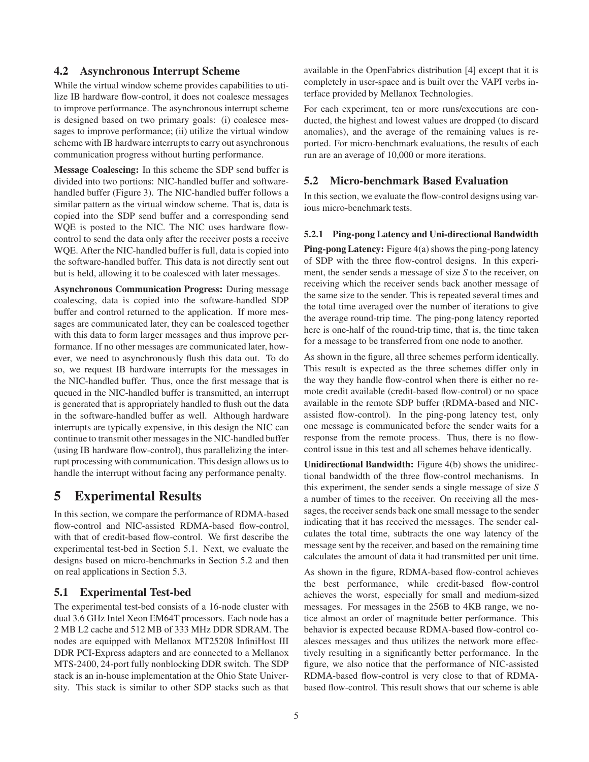#### **4.2 Asynchronous Interrupt Scheme**

While the virtual window scheme provides capabilities to utilize IB hardware flow-control, it does not coalesce messages to improve performance. The asynchronous interrupt scheme is designed based on two primary goals: (i) coalesce messages to improve performance; (ii) utilize the virtual window scheme with IB hardware interrupts to carry out asynchronous communication progress without hurting performance.

**Message Coalescing:** In this scheme the SDP send buffer is divided into two portions: NIC-handled buffer and softwarehandled buffer (Figure 3). The NIC-handled buffer follows a similar pattern as the virtual window scheme. That is, data is copied into the SDP send buffer and a corresponding send WQE is posted to the NIC. The NIC uses hardware flowcontrol to send the data only after the receiver posts a receive WQE. After the NIC-handled buffer is full, data is copied into the software-handled buffer. This data is not directly sent out but is held, allowing it to be coalesced with later messages.

**Asynchronous Communication Progress:** During message coalescing, data is copied into the software-handled SDP buffer and control returned to the application. If more messages are communicated later, they can be coalesced together with this data to form larger messages and thus improve performance. If no other messages are communicated later, however, we need to asynchronously flush this data out. To do so, we request IB hardware interrupts for the messages in the NIC-handled buffer. Thus, once the first message that is queued in the NIC-handled buffer is transmitted, an interrupt is generated that is appropriately handled to flush out the data in the software-handled buffer as well. Although hardware interrupts are typically expensive, in this design the NIC can continue to transmit other messages in the NIC-handled buffer (using IB hardware flow-control), thus parallelizing the interrupt processing with communication. This design allows usto handle the interrupt without facing any performance penalty.

# **5 Experimental Results**

In this section, we compare the performance of RDMA-based flow-control and NIC-assisted RDMA-based flow-control, with that of credit-based flow-control. We first describe the experimental test-bed in Section 5.1. Next, we evaluate the designs based on micro-benchmarks in Section 5.2 and then on real applications in Section 5.3.

#### **5.1 Experimental Test-bed**

The experimental test-bed consists of a 16-node cluster with dual 3.6 GHz Intel Xeon EM64T processors. Each node has a 2 MB L2 cache and 512 MB of 333 MHz DDR SDRAM. The nodes are equipped with Mellanox MT25208 InfiniHost III DDR PCI-Express adapters and are connected to a Mellanox MTS-2400, 24-port fully nonblocking DDR switch. The SDP stack is an in-house implementation at the Ohio State University. This stack is similar to other SDP stacks such as that available in the OpenFabrics distribution [4] except that it is completely in user-space and is built over the VAPI verbs interface provided by Mellanox Technologies.

For each experiment, ten or more runs/executions are conducted, the highest and lowest values are dropped (to discard anomalies), and the average of the remaining values is reported. For micro-benchmark evaluations, the results of each run are an average of 10,000 or more iterations.

#### **5.2 Micro-benchmark Based Evaluation**

In this section, we evaluate the flow-control designs using various micro-benchmark tests.

#### **5.2.1 Ping-pong Latency and Uni-directional Bandwidth**

**Ping-pong Latency:** Figure 4(a) shows the ping-pong latency of SDP with the three flow-control designs. In this experiment, the sender sends a message of size *S* to the receiver, on receiving which the receiver sends back another message of the same size to the sender. This is repeated several times and the total time averaged over the number of iterations to give the average round-trip time. The ping-pong latency reported here is one-half of the round-trip time, that is, the time taken for a message to be transferred from one node to another.

As shown in the figure, all three schemes perform identically. This result is expected as the three schemes differ only in the way they handle flow-control when there is either no remote credit available (credit-based flow-control) or no space available in the remote SDP buffer (RDMA-based and NICassisted flow-control). In the ping-pong latency test, only one message is communicated before the sender waits for a response from the remote process. Thus, there is no flowcontrol issue in this test and all schemes behave identically.

**Unidirectional Bandwidth:** Figure 4(b) shows the unidirectional bandwidth of the three flow-control mechanisms. In this experiment, the sender sends a single message of size *S* a number of times to the receiver. On receiving all the messages, the receiver sends back one small message to the sender indicating that it has received the messages. The sender calculates the total time, subtracts the one way latency of the message sent by the receiver, and based on the remaining time calculates the amount of data it had transmitted per unit time.

As shown in the figure, RDMA-based flow-control achieves the best performance, while credit-based flow-control achieves the worst, especially for small and medium-sized messages. For messages in the 256B to 4KB range, we notice almost an order of magnitude better performance. This behavior is expected because RDMA-based flow-control coalesces messages and thus utilizes the network more effectively resulting in a significantly better performance. In the figure, we also notice that the performance of NIC-assisted RDMA-based flow-control is very close to that of RDMAbased flow-control. This result shows that our scheme is able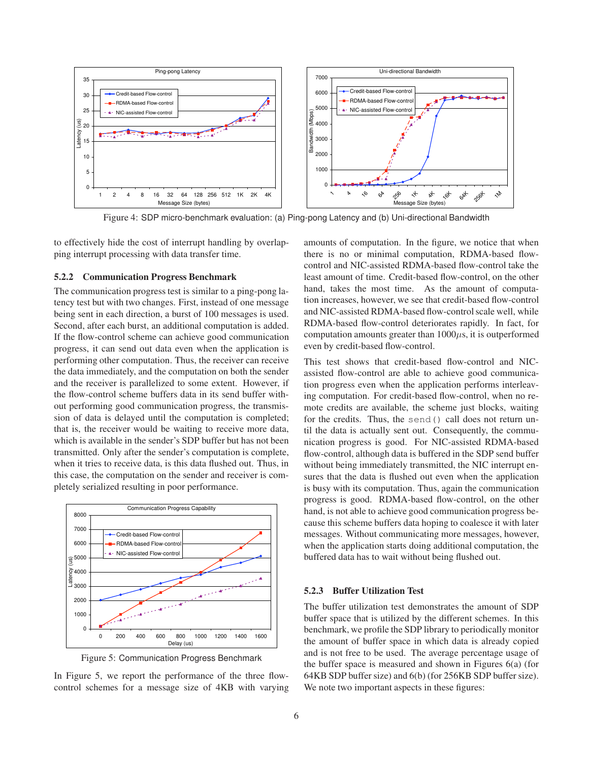

Figure 4: SDP micro-benchmark evaluation: (a) Ping-pong Latency and (b) Uni-directional Bandwidth

to effectively hide the cost of interrupt handling by overlapping interrupt processing with data transfer time.

#### **5.2.2 Communication Progress Benchmark**

The communication progress test is similar to a ping-pong latency test but with two changes. First, instead of one message being sent in each direction, a burst of 100 messages is used. Second, after each burst, an additional computation is added. If the flow-control scheme can achieve good communication progress, it can send out data even when the application is performing other computation. Thus, the receiver can receive the data immediately, and the computation on both the sender and the receiver is parallelized to some extent. However, if the flow-control scheme buffers data in its send buffer without performing good communication progress, the transmission of data is delayed until the computation is completed; that is, the receiver would be waiting to receive more data, which is available in the sender's SDP buffer but has not been transmitted. Only after the sender's computation is complete, when it tries to receive data, is this data flushed out. Thus, in this case, the computation on the sender and receiver is completely serialized resulting in poor performance.



Figure 5: Communication Progress Benchmark

In Figure 5, we report the performance of the three flowcontrol schemes for a message size of 4KB with varying amounts of computation. In the figure, we notice that when there is no or minimal computation, RDMA-based flowcontrol and NIC-assisted RDMA-based flow-control take the least amount of time. Credit-based flow-control, on the other hand, takes the most time. As the amount of computation increases, however, we see that credit-based flow-control and NIC-assisted RDMA-based flow-controlscale well, while RDMA-based flow-control deteriorates rapidly. In fact, for computation amounts greater than  $1000\mu s$ , it is outperformed even by credit-based flow-control.

This test shows that credit-based flow-control and NICassisted flow-control are able to achieve good communication progress even when the application performs interleaving computation. For credit-based flow-control, when no remote credits are available, the scheme just blocks, waiting for the credits. Thus, the send() call does not return until the data is actually sent out. Consequently, the communication progress is good. For NIC-assisted RDMA-based flow-control, although data is buffered in the SDP send buffer without being immediately transmitted, the NIC interrupt ensures that the data is flushed out even when the application is busy with its computation. Thus, again the communication progress is good. RDMA-based flow-control, on the other hand, is not able to achieve good communication progress because this scheme buffers data hoping to coalesce it with later messages. Without communicating more messages, however, when the application starts doing additional computation, the buffered data has to wait without being flushed out.

#### **5.2.3 Buffer Utilization Test**

The buffer utilization test demonstrates the amount of SDP buffer space that is utilized by the different schemes. In this benchmark, we profile the SDP library to periodically monitor the amount of buffer space in which data is already copied and is not free to be used. The average percentage usage of the buffer space is measured and shown in Figures 6(a) (for 64KB SDP buffer size) and 6(b) (for 256KB SDP buffer size). We note two important aspects in these figures: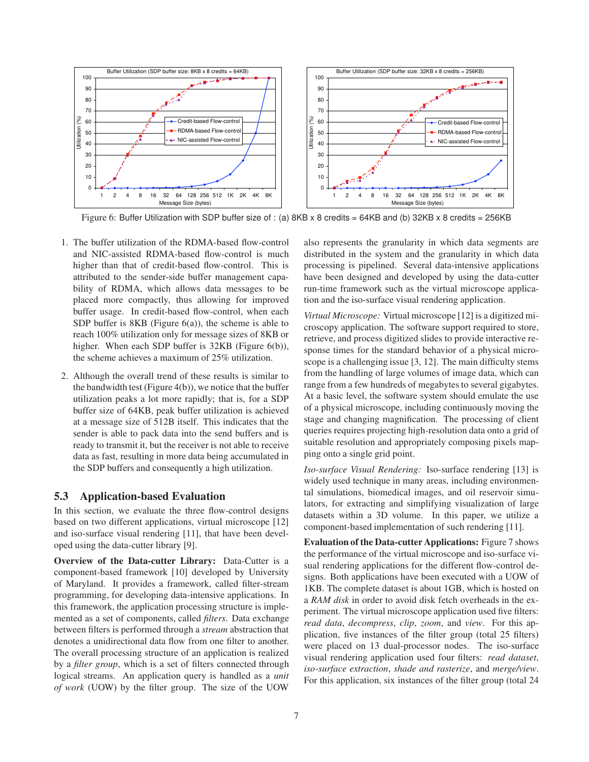

Figure 6: Buffer Utilization with SDP buffer size of : (a) 8KB x 8 credits = 64KB and (b) 32KB x 8 credits = 256KB

- 1. The buffer utilization of the RDMA-based flow-control and NIC-assisted RDMA-based flow-control is much higher than that of credit-based flow-control. This is attributed to the sender-side buffer management capability of RDMA, which allows data messages to be placed more compactly, thus allowing for improved buffer usage. In credit-based flow-control, when each SDP buffer is 8KB (Figure 6(a)), the scheme is able to reach 100% utilization only for message sizes of 8KB or higher. When each SDP buffer is 32KB (Figure 6(b)), the scheme achieves a maximum of 25% utilization.
- 2. Although the overall trend of these results is similar to the bandwidth test (Figure  $4(b)$ ), we notice that the buffer utilization peaks a lot more rapidly; that is, for a SDP buffer size of 64KB, peak buffer utilization is achieved at a message size of 512B itself. This indicates that the sender is able to pack data into the send buffers and is ready to transmit it, but the receiver is not able to receive data as fast, resulting in more data being accumulated in the SDP buffers and consequently a high utilization.

#### **5.3 Application-based Evaluation**

In this section, we evaluate the three flow-control designs based on two different applications, virtual microscope [12] and iso-surface visual rendering [11], that have been developed using the data-cutter library [9].

**Overview of the Data-cutter Library:** Data-Cutter is a component-based framework [10] developed by University of Maryland. It provides a framework, called filter-stream programming, for developing data-intensive applications. In this framework, the application processing structure is implemented as a set of components, called *filters*. Data exchange between filters is performed through a *stream* abstraction that denotes a unidirectional data flow from one filter to another. The overall processing structure of an application is realized by a *filter group*, which is a set of filters connected through logical streams. An application query is handled as a *unit of work* (UOW) by the filter group. The size of the UOW also represents the granularity in which data segments are distributed in the system and the granularity in which data processing is pipelined. Several data-intensive applications have been designed and developed by using the data-cutter run-time framework such as the virtual microscope application and the iso-surface visual rendering application.

*Virtual Microscope:* Virtual microscope [12] is a digitized microscopy application. The software support required to store, retrieve, and process digitized slides to provide interactive response times for the standard behavior of a physical microscope is a challenging issue [3, 12]. The main difficulty stems from the handling of large volumes of image data, which can range from a few hundreds of megabytes to several gigabytes. At a basic level, the software system should emulate the use of a physical microscope, including continuously moving the stage and changing magnification. The processing of client queries requires projecting high-resolution data onto a grid of suitable resolution and appropriately composing pixels mapping onto a single grid point.

*Iso-surface Visual Rendering:* Iso-surface rendering [13] is widely used technique in many areas, including environmental simulations, biomedical images, and oil reservoir simulators, for extracting and simplifying visualization of large datasets within a 3D volume. In this paper, we utilize a component-based implementation of such rendering [11].

**Evaluation of the Data-cutter Applications:** Figure 7 shows the performance of the virtual microscope and iso-surface visual rendering applications for the different flow-control designs. Both applications have been executed with a UOW of 1KB. The complete dataset is about 1GB, which is hosted on a *RAM disk* in order to avoid disk fetch overheads in the experiment. The virtual microscope application used five filters: *read data*, *decompress*, *clip*, *zoom*, and *view*. For this application, five instances of the filter group (total 25 filters) were placed on 13 dual-processor nodes. The iso-surface visual rendering application used four filters: *read dataset*, *iso-surface extraction*, *shade and rasterize*, and *merge/view*. For this application, six instances of the filter group (total 24